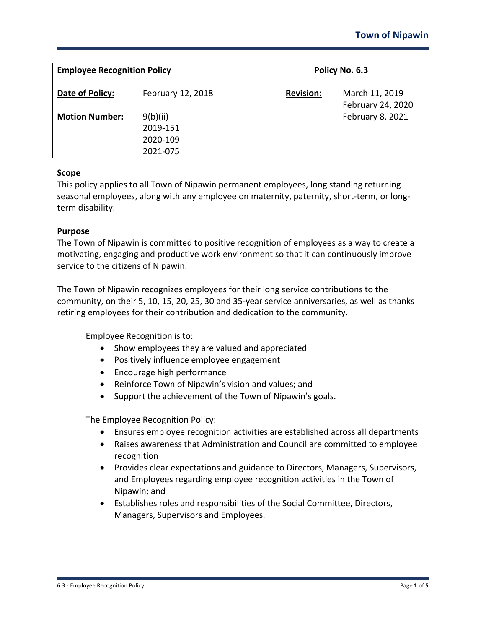| <b>Employee Recognition Policy</b> |                                              | Policy No. 6.3   |                                     |
|------------------------------------|----------------------------------------------|------------------|-------------------------------------|
| Date of Policy:                    | February 12, 2018                            | <b>Revision:</b> | March 11, 2019<br>February 24, 2020 |
| <b>Motion Number:</b>              | 9(b)(ii)<br>2019-151<br>2020-109<br>2021-075 |                  | February 8, 2021                    |

#### **Scope**

This policy applies to all Town of Nipawin permanent employees, long standing returning seasonal employees, along with any employee on maternity, paternity, short-term, or longterm disability.

#### **Purpose**

The Town of Nipawin is committed to positive recognition of employees as a way to create a motivating, engaging and productive work environment so that it can continuously improve service to the citizens of Nipawin.

The Town of Nipawin recognizes employees for their long service contributions to the community, on their 5, 10, 15, 20, 25, 30 and 35-year service anniversaries, as well as thanks retiring employees for their contribution and dedication to the community.

Employee Recognition is to:

- Show employees they are valued and appreciated
- Positively influence employee engagement
- Encourage high performance
- Reinforce Town of Nipawin's vision and values; and
- Support the achievement of the Town of Nipawin's goals.

The Employee Recognition Policy:

- Ensures employee recognition activities are established across all departments
- Raises awareness that Administration and Council are committed to employee recognition
- Provides clear expectations and guidance to Directors, Managers, Supervisors, and Employees regarding employee recognition activities in the Town of Nipawin; and
- Establishes roles and responsibilities of the Social Committee, Directors, Managers, Supervisors and Employees.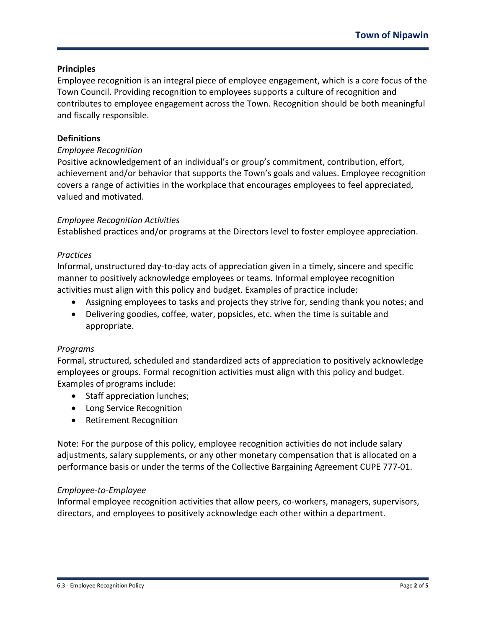# **Principles**

Employee recognition is an integral piece of employee engagement, which is a core focus of the Town Council. Providing recognition to employees supports a culture of recognition and contributes to employee engagement across the Town. Recognition should be both meaningful and fiscally responsible.

## **Definitions**

## *Employee Recognition*

Positive acknowledgement of an individual's or group's commitment, contribution, effort, achievement and/or behavior that supports the Town's goals and values. Employee recognition covers a range of activities in the workplace that encourages employees to feel appreciated, valued and motivated.

# *Employee Recognition Activities*

Established practices and/or programs at the Directors level to foster employee appreciation.

## *Practices*

Informal, unstructured day-to-day acts of appreciation given in a timely, sincere and specific manner to positively acknowledge employees or teams. Informal employee recognition activities must align with this policy and budget. Examples of practice include:

- Assigning employees to tasks and projects they strive for, sending thank you notes; and
- Delivering goodies, coffee, water, popsicles, etc. when the time is suitable and appropriate.

## *Programs*

Formal, structured, scheduled and standardized acts of appreciation to positively acknowledge employees or groups. Formal recognition activities must align with this policy and budget. Examples of programs include:

- Staff appreciation lunches;
- Long Service Recognition
- Retirement Recognition

Note: For the purpose of this policy, employee recognition activities do not include salary adjustments, salary supplements, or any other monetary compensation that is allocated on a performance basis or under the terms of the Collective Bargaining Agreement CUPE 777-01.

## *Employee-to-Employee*

Informal employee recognition activities that allow peers, co-workers, managers, supervisors, directors, and employees to positively acknowledge each other within a department.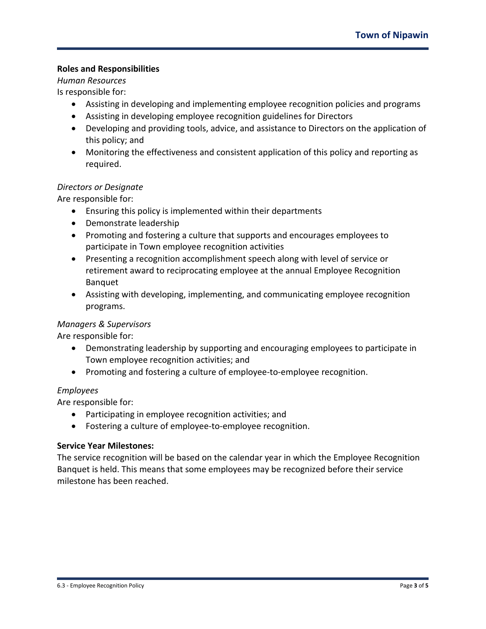# **Roles and Responsibilities**

## *Human Resources*

Is responsible for:

- Assisting in developing and implementing employee recognition policies and programs
- Assisting in developing employee recognition guidelines for Directors
- Developing and providing tools, advice, and assistance to Directors on the application of this policy; and
- Monitoring the effectiveness and consistent application of this policy and reporting as required.

## *Directors or Designate*

Are responsible for:

- Ensuring this policy is implemented within their departments
- Demonstrate leadership
- Promoting and fostering a culture that supports and encourages employees to participate in Town employee recognition activities
- Presenting a recognition accomplishment speech along with level of service or retirement award to reciprocating employee at the annual Employee Recognition Banquet
- Assisting with developing, implementing, and communicating employee recognition programs.

## *Managers & Supervisors*

Are responsible for:

- Demonstrating leadership by supporting and encouraging employees to participate in Town employee recognition activities; and
- Promoting and fostering a culture of employee-to-employee recognition.

## *Employees*

Are responsible for:

- Participating in employee recognition activities; and
- Fostering a culture of employee-to-employee recognition.

#### **Service Year Milestones:**

The service recognition will be based on the calendar year in which the Employee Recognition Banquet is held. This means that some employees may be recognized before their service milestone has been reached.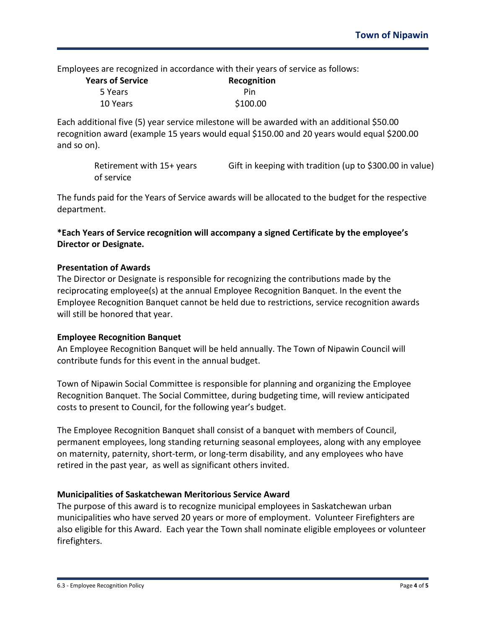Employees are recognized in accordance with their years of service as follows:

| <b>Years of Service</b> | Recognition |  |
|-------------------------|-------------|--|
| 5 Years                 | Pin         |  |
| 10 Years                | \$100.00    |  |

Each additional five (5) year service milestone will be awarded with an additional \$50.00 recognition award (example 15 years would equal \$150.00 and 20 years would equal \$200.00 and so on).

> Retirement with 15+ years Gift in keeping with tradition (up to \$300.00 in value) of service

The funds paid for the Years of Service awards will be allocated to the budget for the respective department.

**\*Each Years of Service recognition will accompany a signed Certificate by the employee's Director or Designate.**

#### **Presentation of Awards**

The Director or Designate is responsible for recognizing the contributions made by the reciprocating employee(s) at the annual Employee Recognition Banquet. In the event the Employee Recognition Banquet cannot be held due to restrictions, service recognition awards will still be honored that year.

#### **Employee Recognition Banquet**

An Employee Recognition Banquet will be held annually. The Town of Nipawin Council will contribute funds for this event in the annual budget.

Town of Nipawin Social Committee is responsible for planning and organizing the Employee Recognition Banquet. The Social Committee, during budgeting time, will review anticipated costs to present to Council, for the following year's budget.

The Employee Recognition Banquet shall consist of a banquet with members of Council, permanent employees, long standing returning seasonal employees, along with any employee on maternity, paternity, short-term, or long-term disability, and any employees who have retired in the past year, as well as significant others invited.

## **Municipalities of Saskatchewan Meritorious Service Award**

The purpose of this award is to recognize municipal employees in Saskatchewan urban municipalities who have served 20 years or more of employment. Volunteer Firefighters are also eligible for this Award. Each year the Town shall nominate eligible employees or volunteer firefighters.